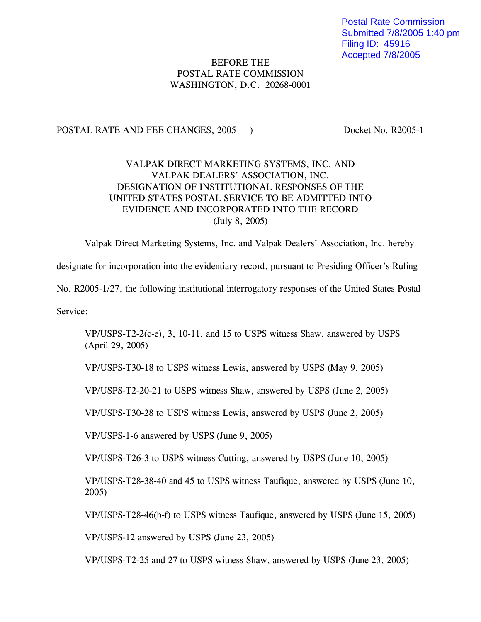Postal Rate Commission Submitted 7/8/2005 1:40 pm Filing ID: 45916 Accepted 7/8/2005

## BEFORE THE POSTAL RATE COMMISSION WASHINGTON, D.C. 20268-0001

## POSTAL RATE AND FEE CHANGES, 2005 ) Docket No. R2005-1

## VALPAK DIRECT MARKETING SYSTEMS, INC. AND VALPAK DEALERS' ASSOCIATION, INC. DESIGNATION OF INSTITUTIONAL RESPONSES OF THE UNITED STATES POSTAL SERVICE TO BE ADMITTED INTO EVIDENCE AND INCORPORATED INTO THE RECORD (July 8, 2005)

Valpak Direct Marketing Systems, Inc. and Valpak Dealers' Association, Inc. hereby designate for incorporation into the evidentiary record, pursuant to Presiding Officer's Ruling No. R2005-1/27, the following institutional interrogatory responses of the United States Postal Service:

VP/USPS-T2-2(c-e), 3, 10-11, and 15 to USPS witness Shaw, answered by USPS (April 29, 2005)

VP/USPS-T30-18 to USPS witness Lewis, answered by USPS (May 9, 2005)

VP/USPS-T2-20-21 to USPS witness Shaw, answered by USPS (June 2, 2005)

VP/USPS-T30-28 to USPS witness Lewis, answered by USPS (June 2, 2005)

VP/USPS-1-6 answered by USPS (June 9, 2005)

VP/USPS-T26-3 to USPS witness Cutting, answered by USPS (June 10, 2005)

VP/USPS-T28-38-40 and 45 to USPS witness Taufique, answered by USPS (June 10, 2005)

VP/USPS-T28-46(b-f) to USPS witness Taufique, answered by USPS (June 15, 2005)

VP/USPS-12 answered by USPS (June 23, 2005)

VP/USPS-T2-25 and 27 to USPS witness Shaw, answered by USPS (June 23, 2005)